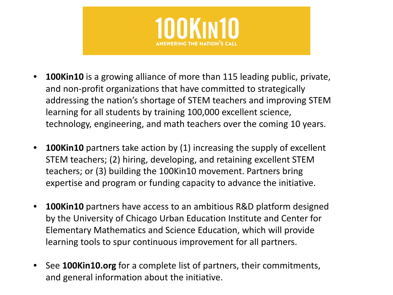

- **100Kin10** is a growing alliance of more than 115 leading public, private, and non-profit organizations that have committed to strategically addressing the nation's shortage of STEM teachers and improving STEM learning for all students by training 100,000 excellent science, technology, engineering, and math teachers over the coming 10 years.
- **100Kin10** partners take action by (1) increasing the supply of excellent STEM teachers; (2) hiring, developing, and retaining excellent STEM teachers; or (3) building the 100Kin10 movement. Partners bring expertise and program or funding capacity to advance the initiative.
- **100Kin10** partners have access to an ambitious R&D platform designed by the University of Chicago Urban Education Institute and Center for Elementary Mathematics and Science Education, which will provide learning tools to spur continuous improvement for all partners.
- See **100Kin10.org** for a complete list of partners, their commitments, and general information about the initiative.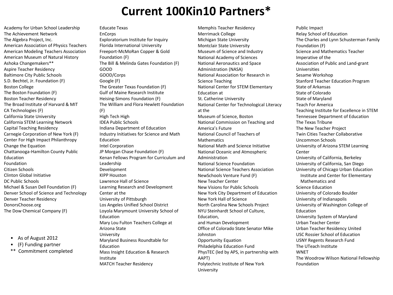### **Current 100Kin10 Partners\***

Academy for Urban School Leadership The Achievement Network The Algebra Project, Inc. American Association of Physics Teachers American Modeling Teachers Association American Museum of Natural History Ashoka Changemakers\*\* Aspire Teacher Residency Baltimore City Public Schools S.D. Bechtel, Jr. Foundation (F) Boston College The Boston Foundation (F) Boston Teacher Residency The Broad Institute of Harvard & MIT CA Technologies (F) California State University California STEM Learning Network Capital Teaching Residency Carnegie Corporation of New York (F) Center For High Impact Philanthropy Change the Equation Chattanooga-Hamilton County Public Education Foundation Citizen Schools Clinton Global Initiative DC Public Schools Michael & Susan Dell Foundation (F) Denver School of Science and Technology Denver Teacher Residency DonorsChoose.org The Dow Chemical Company (F)

- As of August 2012
- (F) Funding partner
- \*\* Commitment completed

Educate Texas EnCorps Exploratorium Institute for Inquiry Florida International University Freeport-McMoRan Copper & Gold Foundation (F) The Bill & Melinda Gates Foundation (F) GOOD GOOD/Corps Google (F) The Greater Texas Foundation (F) Gulf of Maine Research Institute Heising-Simons Foundation (F) The William and Flora Hewlett Foundation (F) High Tech High IDEA Public Schools Indiana Department of Education Industry Initiatives for Science and Math Education Intel Corporation JP Morgan Chase Foundation (F) Kenan Fellows Program for Curriculum and Leadership Development KIPP Houston Lawrence Hall of Science Learning Research and Development Center at the University of Pittsburgh Los Angeles Unified School District Loyola Marymount University School of Education Mary Lou Fulton Teachers College at Arizona State University Maryland Business Roundtable for Education Mass Insight Education & Research Institute MATCH Teacher Residency

Memphis Teacher Residency Merrimack College Michigan State University Montclair State University Museum of Science and Industry National Academy of Sciences National Aeronautics and Space Administration (NASA) National Association for Research in Science Teaching National Center for STEM Elementary Education at St. Catherine University National Center for Technological Literacy at the Museum of Science, Boston National Commission on Teaching and America's Future National Council of Teachers of Mathematics National Math and Science Initiative National Oceanic and Atmospheric Administration National Science Foundation National Science Teachers Association NewSchools Venture Fund (F) New Teacher Center New Visions for Public Schools New York City Department of Education New York Hall of Science North Carolina New Schools Project NYU Steinhardt School of Culture, Education, and Human Development Office of Colorado State Senator Mike Johnston Opportunity Equation Philadelphia Education Fund PhysTEC (led by APS, in partnership with AAPT) Polytechnic Institute of New York University

Public Impact Relay School of Education The Charles and Lynn Schusterman Family Foundation (F) Science and Mathematics Teacher Imperative of the Association of Public and Land-grant Universities Sesame Workshop Stanford Teacher Education Program State of Arkansas State of Colorado State of Maryland Teach For America Teaching Institute for Excellence in STEM Tennessee Department of Education The Texas Tribune The New Teacher Project Twin Cities Teacher Collaborative Uncommon Schools University of Arizona STEM Learning **Center** University of California, Berkeley University of California, San Diego University of Chicago Urban Education Institute and Center for Elementary Mathematics and Science Education University of Colorado Boulder University of Indianapolis University of Washington College of Education University System of Maryland Urban Teacher Center Urban Teacher Residency United USC Rossier School of Education USNY Regents Research Fund The UTeach Institute **WNFT** The Woodrow Wilson National Fellowship Foundation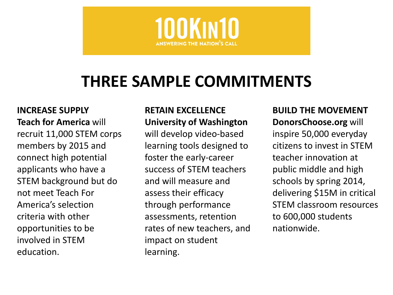

# **THREE SAMPLE COMMITMENTS**

**INCREASE SUPPLY Teach for America** will recruit 11,000 STEM corps members by 2015 and connect high potential applicants who have a STEM background but do not meet Teach For America's selection criteria with other opportunities to be involved in STEM education.

#### **RETAIN EXCELLENCE University of Washington**

will develop video-based learning tools designed to foster the early-career success of STEM teachers and will measure and assess their efficacy through performance assessments, retention rates of new teachers, and impact on student learning.

**BUILD THE MOVEMENT DonorsChoose.org** will

inspire 50,000 everyday citizens to invest in STEM teacher innovation at public middle and high schools by spring 2014, delivering \$15M in critical STEM classroom resources to 600,000 students nationwide.